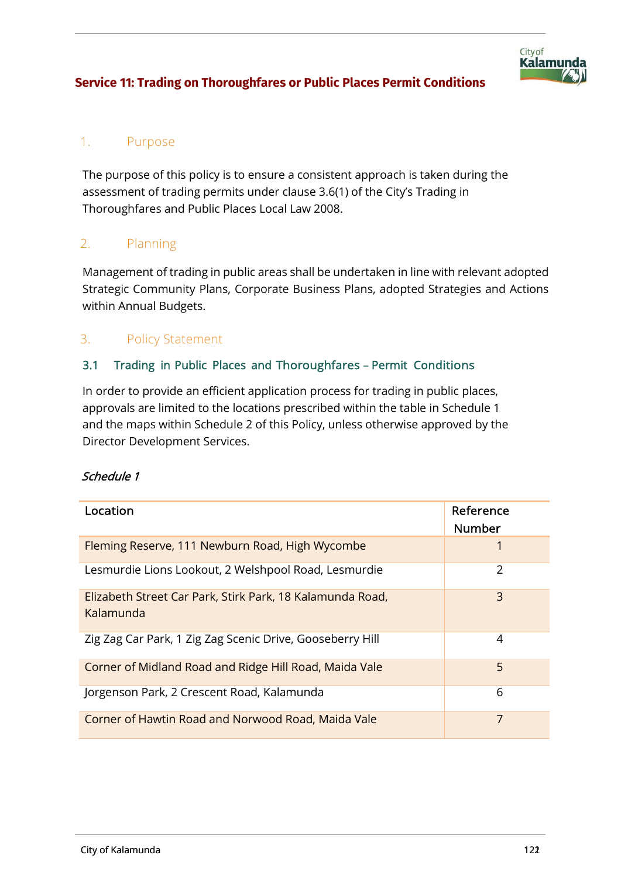

## 1. Purpose

The purpose of this policy is to ensure a consistent approach is taken during the assessment of trading permits under clause 3.6(1) of the City's Trading in Thoroughfares and Public Places Local Law 2008.

## 2. Planning

Management of trading in public areas shall be undertaken in line with relevant adopted Strategic Community Plans, Corporate Business Plans, adopted Strategies and Actions within Annual Budgets.

## 3. Policy Statement

### 3.1 Trading in Public Places and Thoroughfares – Permit Conditions

In order to provide an efficient application process for trading in public places, approvals are limited to the locations prescribed within the table in Schedule 1 and the maps within Schedule 2 of this Policy, unless otherwise approved by the Director Development Services.

#### Schedule 1

| Location                                                               | Reference<br><b>Number</b> |
|------------------------------------------------------------------------|----------------------------|
| Fleming Reserve, 111 Newburn Road, High Wycombe                        |                            |
| Lesmurdie Lions Lookout, 2 Welshpool Road, Lesmurdie                   | 2                          |
| Elizabeth Street Car Park, Stirk Park, 18 Kalamunda Road,<br>Kalamunda | 3                          |
| Zig Zag Car Park, 1 Zig Zag Scenic Drive, Gooseberry Hill              | 4                          |
| Corner of Midland Road and Ridge Hill Road, Maida Vale                 | 5                          |
| Jorgenson Park, 2 Crescent Road, Kalamunda                             | 6                          |
| Corner of Hawtin Road and Norwood Road, Maida Vale                     | 7                          |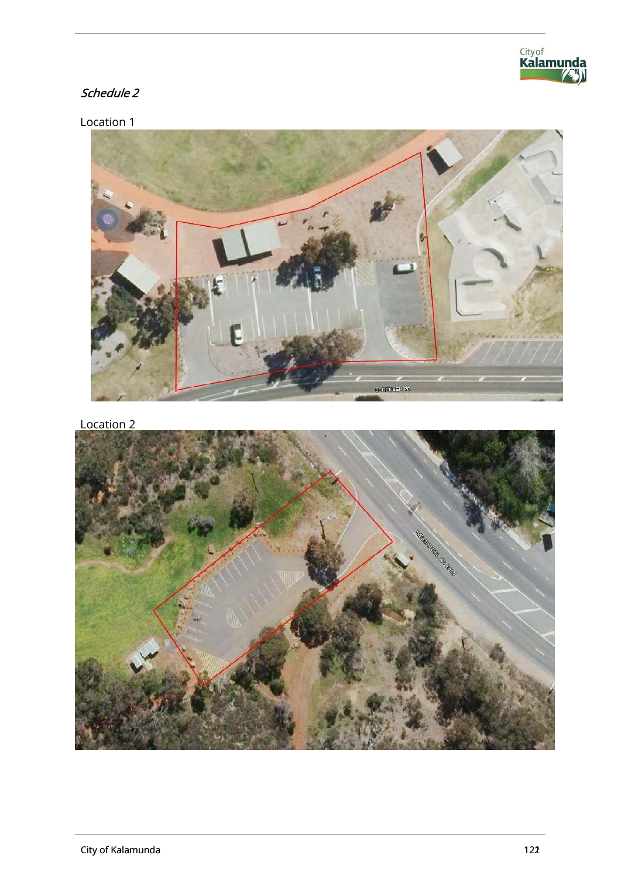

# Schedule 2

Location 1



Location 2

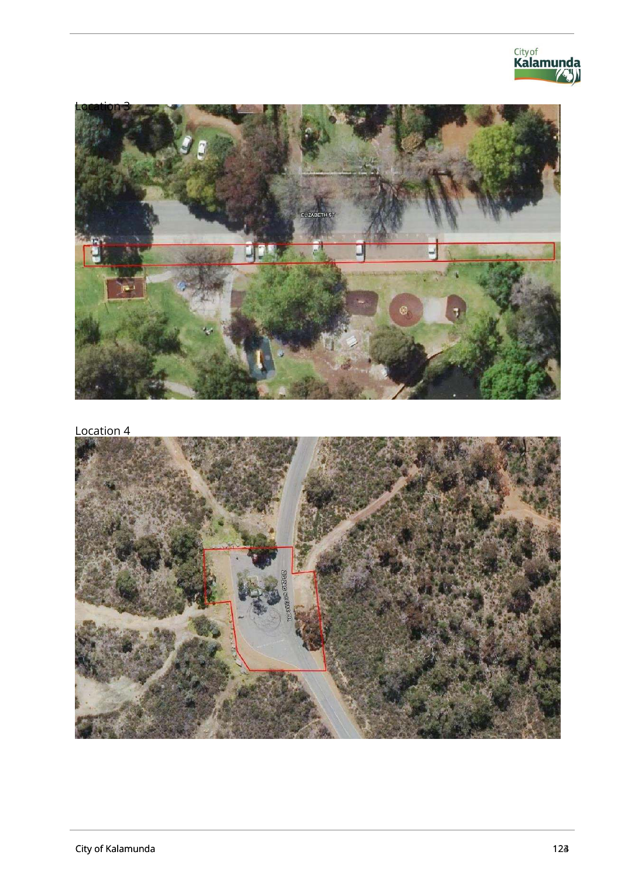

Location 4

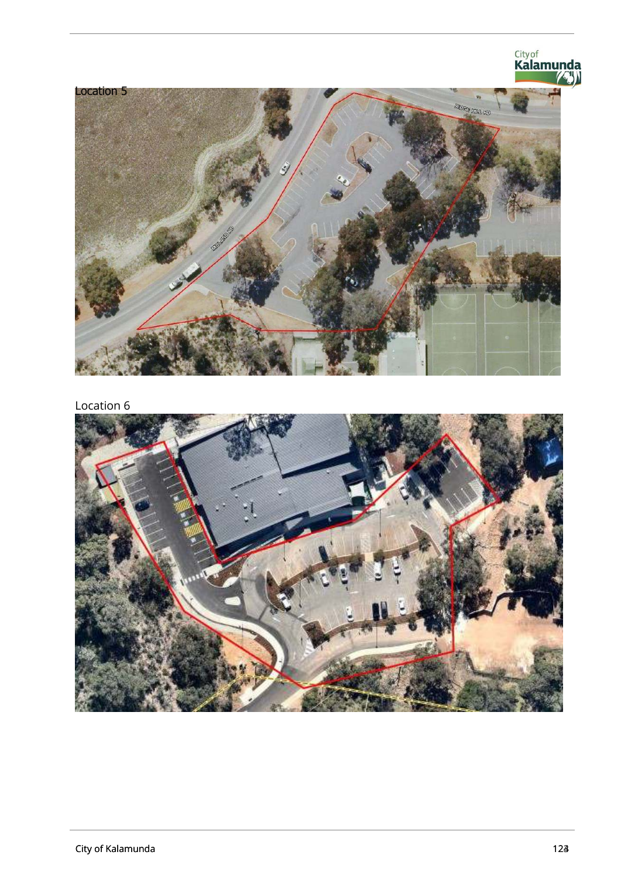

Location 6

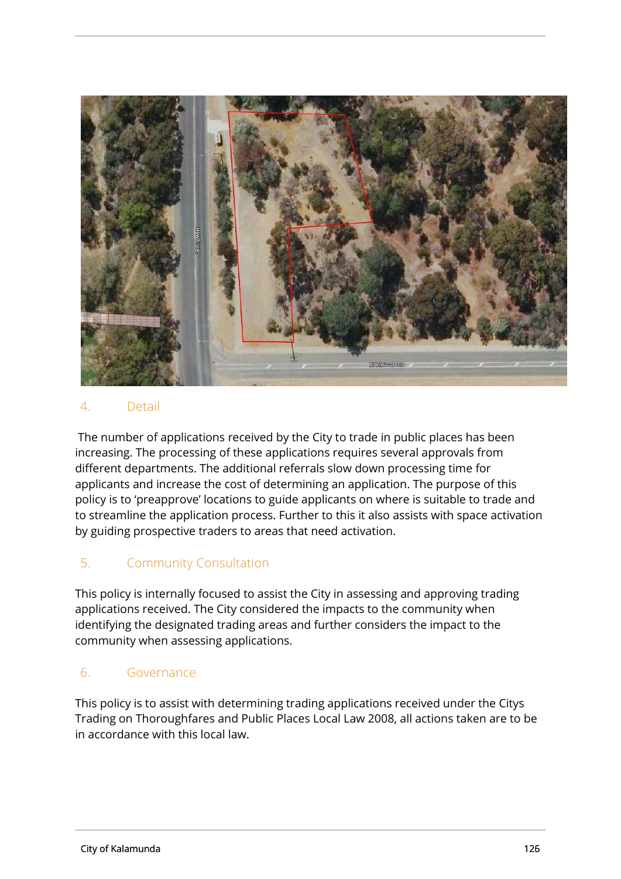

#### 4. Detail

The number of applications received by the City to trade in public places has been increasing. The processing of these applications requires several approvals from different departments. The additional referrals slow down processing time for applicants and increase the cost of determining an application. The purpose of this policy is to 'preapprove' locations to guide applicants on where is suitable to trade and to streamline the application process. Further to this it also assists with space activation by guiding prospective traders to areas that need activation.

## 5. Community Consultation

This policy is internally focused to assist the City in assessing and approving trading applications received. The City considered the impacts to the community when identifying the designated trading areas and further considers the impact to the community when assessing applications.

#### 6. Governance

This policy is to assist with determining trading applications received under the Citys Trading on Thoroughfares and Public Places Local Law 2008, all actions taken are to be in accordance with this local law.